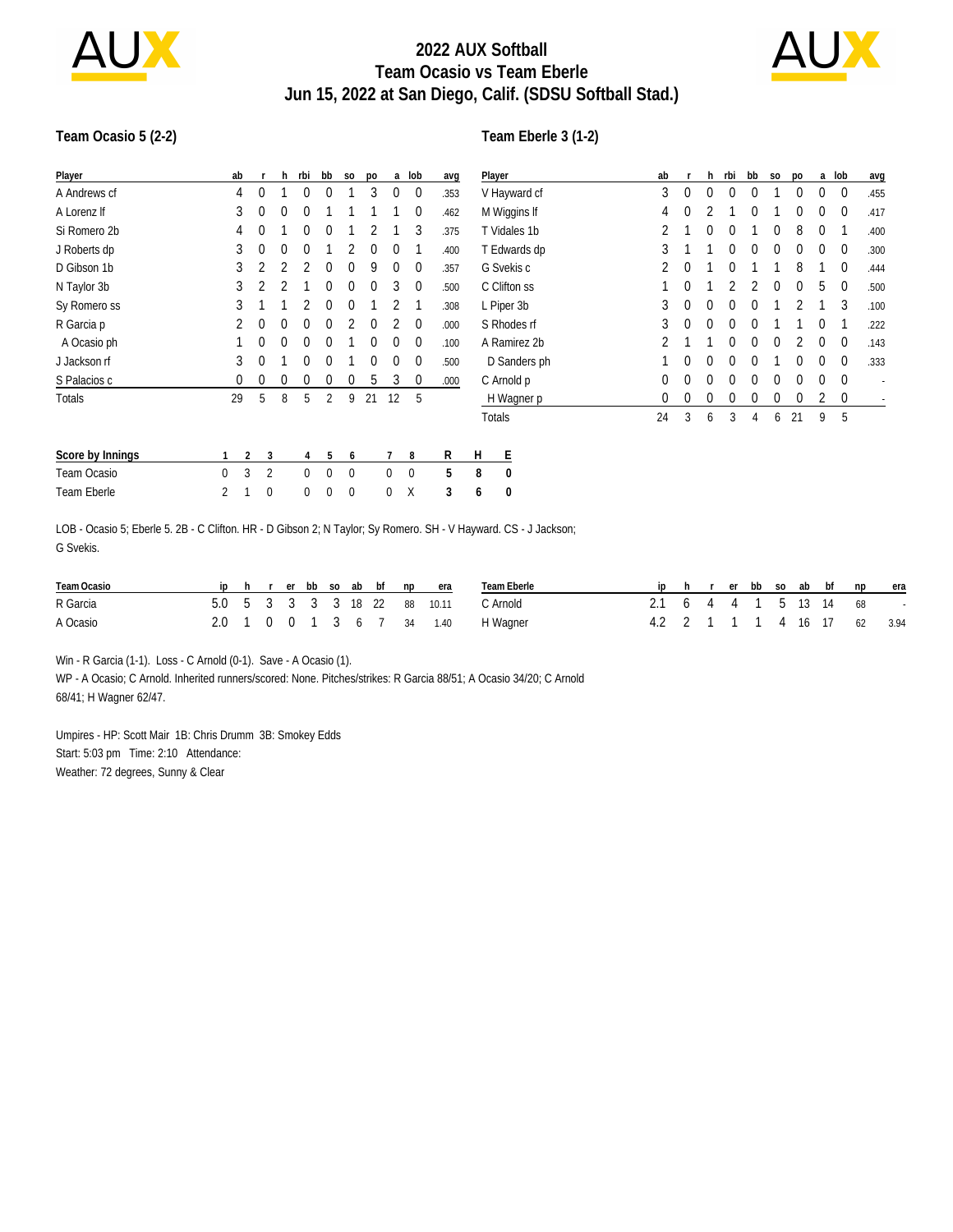

# **2022 AUX Softball Team Ocasio vs Team Eberle Jun 15, 2022 at San Diego, Calif. (SDSU Softball Stad.)**



#### **Team Ocasio 5 (2-2)**

### **Team Eberle 3 (1-2)**

| Player                                                                                                            | ab       |          | h.               | rbi         | bb          | S <sub>0</sub> | po | a        | lob              | avg  | Player |                  | ab |   | h | rbi | bb | S <sub>0</sub> | po | a | lob         | avg  |
|-------------------------------------------------------------------------------------------------------------------|----------|----------|------------------|-------------|-------------|----------------|----|----------|------------------|------|--------|------------------|----|---|---|-----|----|----------------|----|---|-------------|------|
| A Andrews cf                                                                                                      | 4        | 0        |                  | 0           | 0           |                | 3  | 0        | 0                | .353 |        | V Hayward cf     | 3  | 0 | 0 |     |    |                | 0  |   | 0           | .455 |
| A Lorenz If                                                                                                       | 3        | 0        | 0                | 0           |             |                |    |          | 0                | .462 |        | M Wiggins If     | 4  | 0 |   |     | 0  |                | 0  | 0 | 0           | .417 |
| Si Romero 2b                                                                                                      | 4        | 0        |                  | $^{0}$      | 0           |                |    |          | 3                | .375 |        | T Vidales 1b     |    |   | 0 |     |    | 0              | 8  | 0 |             | .400 |
| J Roberts dp                                                                                                      | 3        | 0        | 0                | $\Omega$    |             |                | 0  | 0        |                  | .400 |        | T Edwards dp     | 3  |   |   |     |    |                |    |   | 0           | .300 |
| D Gibson 1b                                                                                                       | 3        |          |                  |             | 0           | $^{0}$         | 9  | 0        | 0                | .357 |        | G Svekis c       |    | 0 |   |     |    |                | 8  |   | 0           | .444 |
| N Taylor 3b                                                                                                       | 3        |          |                  |             | 0           | $^{0}$         | 0  | 3        | 0                | .500 |        | C Clifton ss     |    | 0 |   |     |    | 0              | 0  | 5 | $\mathbf 0$ | .500 |
| Sy Romero ss                                                                                                      |          |          |                  |             | 0           | $^{0}$         |    |          |                  | .308 |        | L Piper 3b       | 3  | 0 | 0 |     |    |                |    |   | 3           | .100 |
| R Garcia p                                                                                                        |          | 0        | 0                | $^{0}$      | $\Omega$    |                | 0  |          | $\mathbf{0}$     | .000 |        | S Rhodes rf      | 3  | 0 | 0 |     |    |                |    |   |             | .222 |
| A Ocasio ph                                                                                                       |          | 0        | $\Omega$         |             | 0           |                | 0  | 0        | $\boldsymbol{0}$ | .100 |        | A Ramirez 2b     |    |   |   |     |    |                |    |   | 0           | .143 |
| J Jackson rf                                                                                                      | 3        | $\theta$ |                  | 0           | $\Omega$    |                | 0  | 0        | $\boldsymbol{0}$ | .500 |        | D Sanders ph     |    | 0 | 0 |     |    |                |    |   | $\mathbf 0$ | .333 |
| S Palacios c                                                                                                      | 0        | 0        | 0                | 0           | 0           | $^{0}$         | 5  | 3        | 0                | .000 |        | C Arnold p       | 0  | 0 | 0 |     |    |                |    |   | $\mathbf 0$ |      |
| Totals                                                                                                            | 29       | 5        | 8                | 5           | 2           | 9              | 21 | 12       | 5                |      |        | H Wagner p       | 0  | 0 | 0 |     |    |                | 0  | 2 | 0           |      |
|                                                                                                                   |          |          |                  |             |             |                |    |          |                  |      |        | Totals           | 24 | 3 | 6 | 3   | 4  | 6              | 21 | 9 | 5           |      |
| Score by Innings                                                                                                  |          | 2        | 3                | 4           | 5           | 6              |    |          | 8                | R    | H      | E                |    |   |   |     |    |                |    |   |             |      |
| Team Ocasio                                                                                                       | $\Omega$ | 3        | 2                | $\mathbf 0$ | 0           | $\mathbf 0$    |    | $\Omega$ | $\boldsymbol{0}$ | 5    | 8      | 0                |    |   |   |     |    |                |    |   |             |      |
| Team Eberle                                                                                                       | 2        |          | $\boldsymbol{0}$ | 0           | $\mathbf 0$ | 0              |    | 0        | Χ                | 3    | 6      | $\boldsymbol{0}$ |    |   |   |     |    |                |    |   |             |      |
| LOD, Osaala E. Fleede E. 9D., O. Oliffice HD., D. Ollegen Q. N. Taylor, Cu Damara, CH, Millergrand, CC, Haglicon, |          |          |                  |             |             |                |    |          |                  |      |        |                  |    |   |   |     |    |                |    |   |             |      |

LOB - Ocasio 5; Eberle 5. 2B - C Clifton. HR - D Gibson 2; N Taylor; Sy Romero. SH - V Hayward. CS - J Jackson; G Svekis.

| Team Ocasio |  |  |  |  | iphrerbbsoabbfnpera          | Team Fberle |  |  |  |  | ip h r er bb so ab bf np era |  |
|-------------|--|--|--|--|------------------------------|-------------|--|--|--|--|------------------------------|--|
| R Garcia    |  |  |  |  | 5.0 5 3 3 3 3 18 22 88 10.11 | C Arnold    |  |  |  |  | 2.1 6 4 4 1 5 13 14 68 -     |  |
| A Ocasio    |  |  |  |  | 2.0 1 0 0 1 3 6 7 34 1.40    | H Wagner    |  |  |  |  | 4.2 2 1 1 1 4 16 17 62 3.94  |  |

Win - R Garcia (1-1). Loss - C Arnold (0-1). Save - A Ocasio (1).

WP - A Ocasio; C Arnold. Inherited runners/scored: None. Pitches/strikes: R Garcia 88/51; A Ocasio 34/20; C Arnold 68/41; H Wagner 62/47.

Umpires - HP: Scott Mair 1B: Chris Drumm 3B: Smokey Edds Start: 5:03 pm Time: 2:10 Attendance: Weather: 72 degrees, Sunny & Clear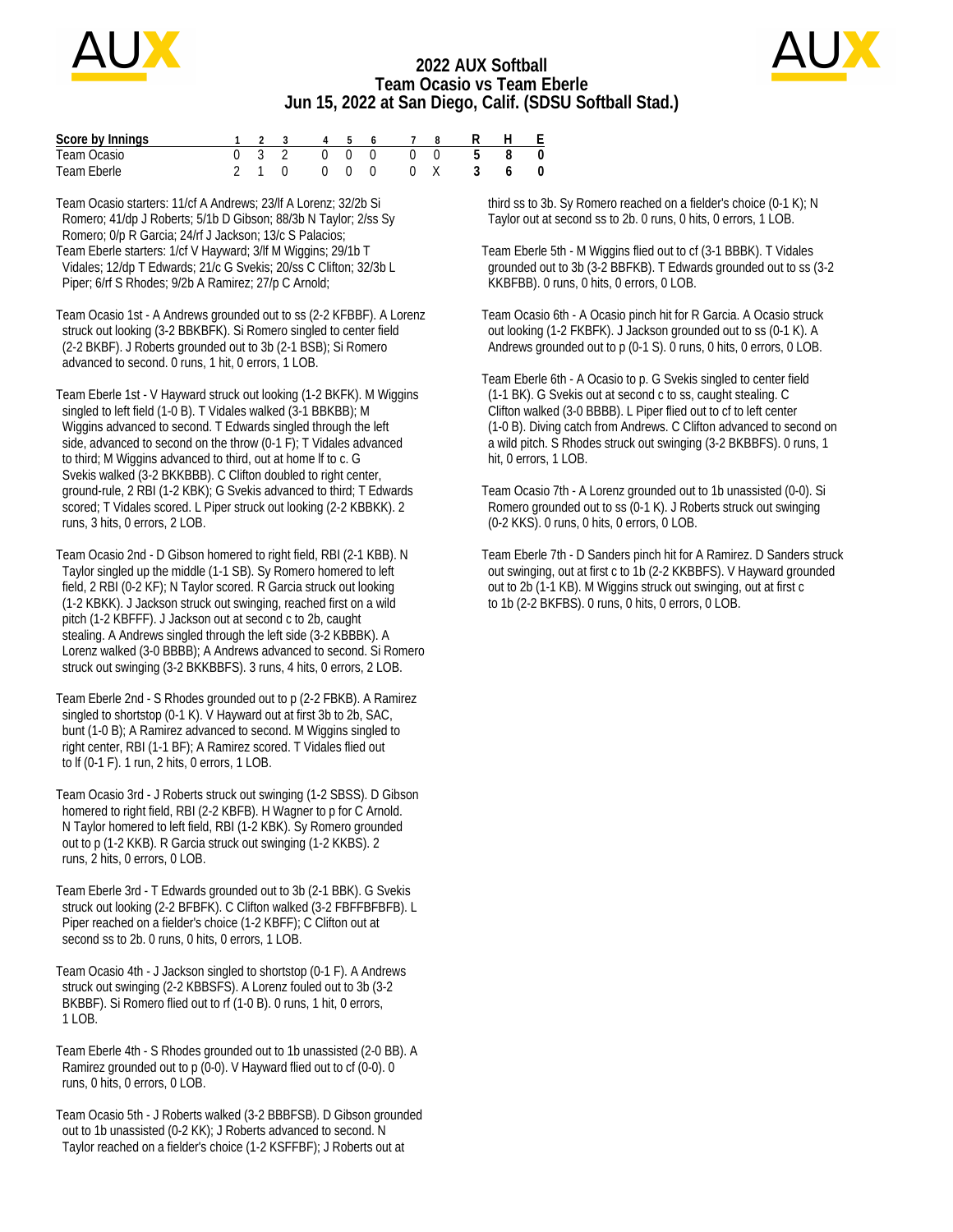

## **2022 AUX Softball Team Ocasio vs Team Eberle Jun 15, 2022 at San Diego, Calif. (SDSU Softball Stad.)**



| Score by Innings |  |  |  | 1 2 3 4 5 6 7 8 R H E   |  |  |
|------------------|--|--|--|-------------------------|--|--|
| Team Ocasio      |  |  |  | 0 3 2 0 0 0 0 0 5 8 0   |  |  |
| Team Eberle      |  |  |  | 2 1 0 0 0 0 0 0 X 3 6 0 |  |  |

Team Ocasio starters: 11/cf A Andrews; 23/lf A Lorenz; 32/2b Si Romero; 41/dp J Roberts; 5/1b D Gibson; 88/3b N Taylor; 2/ss Sy Romero; 0/p R Garcia; 24/rf J Jackson; 13/c S Palacios; Team Eberle starters: 1/cf V Hayward; 3/lf M Wiggins; 29/1b T Vidales; 12/dp T Edwards; 21/c G Svekis; 20/ss C Clifton; 32/3b L Piper; 6/rf S Rhodes; 9/2b A Ramirez; 27/p C Arnold;

Team Ocasio 1st - A Andrews grounded out to ss (2-2 KFBBF). A Lorenz struck out looking (3-2 BBKBFK). Si Romero singled to center field (2-2 BKBF). J Roberts grounded out to 3b (2-1 BSB); Si Romero advanced to second. 0 runs, 1 hit, 0 errors, 1 LOB.

Team Eberle 1st - V Hayward struck out looking (1-2 BKFK). M Wiggins singled to left field (1-0 B). T Vidales walked (3-1 BBKBB); M Wiggins advanced to second. T Edwards singled through the left side, advanced to second on the throw (0-1 F); T Vidales advanced to third; M Wiggins advanced to third, out at home lf to c. G Svekis walked (3-2 BKKBBB). C Clifton doubled to right center, ground-rule, 2 RBI (1-2 KBK); G Svekis advanced to third; T Edwards scored; T Vidales scored. L Piper struck out looking (2-2 KBBKK). 2 runs, 3 hits, 0 errors, 2 LOB.

Team Ocasio 2nd - D Gibson homered to right field, RBI (2-1 KBB). N Taylor singled up the middle (1-1 SB). Sy Romero homered to left field, 2 RBI (0-2 KF); N Taylor scored. R Garcia struck out looking (1-2 KBKK). J Jackson struck out swinging, reached first on a wild pitch (1-2 KBFFF). J Jackson out at second c to 2b, caught stealing. A Andrews singled through the left side (3-2 KBBBK). A Lorenz walked (3-0 BBBB); A Andrews advanced to second. Si Romero struck out swinging (3-2 BKKBBFS). 3 runs, 4 hits, 0 errors, 2 LOB.

Team Eberle 2nd - S Rhodes grounded out to p (2-2 FBKB). A Ramirez singled to shortstop (0-1 K). V Hayward out at first 3b to 2b, SAC, bunt (1-0 B); A Ramirez advanced to second. M Wiggins singled to right center, RBI (1-1 BF); A Ramirez scored. T Vidales flied out to lf (0-1 F). 1 run, 2 hits, 0 errors, 1 LOB.

Team Ocasio 3rd - J Roberts struck out swinging (1-2 SBSS). D Gibson homered to right field, RBI (2-2 KBFB). H Wagner to p for C Arnold. N Taylor homered to left field, RBI (1-2 KBK). Sy Romero grounded out to p (1-2 KKB). R Garcia struck out swinging (1-2 KKBS). 2 runs, 2 hits, 0 errors, 0 LOB.

Team Eberle 3rd - T Edwards grounded out to 3b (2-1 BBK). G Svekis struck out looking (2-2 BFBFK). C Clifton walked (3-2 FBFFBFBFB). L Piper reached on a fielder's choice (1-2 KBFF); C Clifton out at second ss to 2b. 0 runs, 0 hits, 0 errors, 1 LOB.

Team Ocasio 4th - J Jackson singled to shortstop (0-1 F). A Andrews struck out swinging (2-2 KBBSFS). A Lorenz fouled out to 3b (3-2 BKBBF). Si Romero flied out to rf (1-0 B). 0 runs, 1 hit, 0 errors, 1 LOB.

Team Eberle 4th - S Rhodes grounded out to 1b unassisted (2-0 BB). A Ramirez grounded out to p (0-0). V Hayward flied out to cf (0-0). 0 runs, 0 hits, 0 errors, 0 LOB.

Team Ocasio 5th - J Roberts walked (3-2 BBBFSB). D Gibson grounded out to 1b unassisted (0-2 KK); J Roberts advanced to second. N Taylor reached on a fielder's choice (1-2 KSFFBF); J Roberts out at

 third ss to 3b. Sy Romero reached on a fielder's choice (0-1 K); N Taylor out at second ss to 2b. 0 runs, 0 hits, 0 errors, 1 LOB.

Team Eberle 5th - M Wiggins flied out to cf (3-1 BBBK). T Vidales grounded out to 3b (3-2 BBFKB). T Edwards grounded out to ss (3-2 KKBFBB). 0 runs, 0 hits, 0 errors, 0 LOB.

Team Ocasio 6th - A Ocasio pinch hit for R Garcia. A Ocasio struck out looking (1-2 FKBFK). J Jackson grounded out to ss (0-1 K). A Andrews grounded out to p (0-1 S). 0 runs, 0 hits, 0 errors, 0 LOB.

Team Eberle 6th - A Ocasio to p. G Svekis singled to center field (1-1 BK). G Svekis out at second c to ss, caught stealing. C Clifton walked (3-0 BBBB). L Piper flied out to cf to left center (1-0 B). Diving catch from Andrews. C Clifton advanced to second on a wild pitch. S Rhodes struck out swinging (3-2 BKBBFS). 0 runs, 1 hit, 0 errors, 1 LOB.

Team Ocasio 7th - A Lorenz grounded out to 1b unassisted (0-0). Si Romero grounded out to ss (0-1 K). J Roberts struck out swinging (0-2 KKS). 0 runs, 0 hits, 0 errors, 0 LOB.

Team Eberle 7th - D Sanders pinch hit for A Ramirez. D Sanders struck out swinging, out at first c to 1b (2-2 KKBBFS). V Hayward grounded out to 2b (1-1 KB). M Wiggins struck out swinging, out at first c to 1b (2-2 BKFBS). 0 runs, 0 hits, 0 errors, 0 LOB.